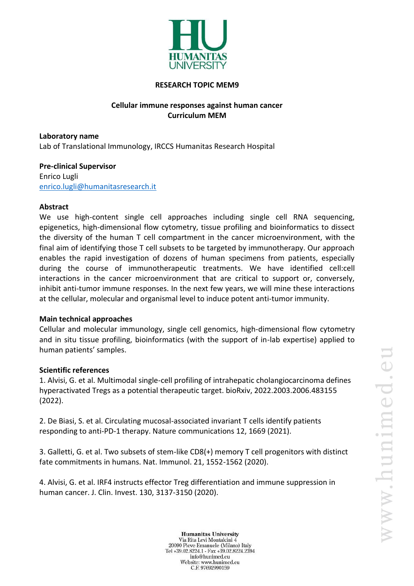

#### **RESEARCH TOPIC MEM9**

# **Cellular immune responses against human cancer Curriculum MEM**

**Laboratory name** Lab of Translational Immunology, IRCCS Humanitas Research Hospital

**Pre-clinical Supervisor** Enrico Lugli [enrico.lugli@humanitasresearch.it](mailto:enrico.lugli@humanitasresearch.it)

### **Abstract**

We use high-content single cell approaches including single cell RNA sequencing, epigenetics, high-dimensional flow cytometry, tissue profiling and bioinformatics to dissect the diversity of the human T cell compartment in the cancer microenvironment, with the final aim of identifying those T cell subsets to be targeted by immunotherapy. Our approach enables the rapid investigation of dozens of human specimens from patients, especially during the course of immunotherapeutic treatments. We have identified cell:cell interactions in the cancer microenvironment that are critical to support or, conversely, inhibit anti-tumor immune responses. In the next few years, we will mine these interactions at the cellular, molecular and organismal level to induce potent anti-tumor immunity.

### **Main technical approaches**

Cellular and molecular immunology, single cell genomics, high-dimensional flow cytometry and in situ tissue profiling, bioinformatics (with the support of in-lab expertise) applied to human patients' samples.

### **Scientific references**

1. Alvisi, G. et al. Multimodal single-cell profiling of intrahepatic cholangiocarcinoma defines hyperactivated Tregs as a potential therapeutic target. bioRxiv, 2022.2003.2006.483155 (2022).

2. De Biasi, S. et al. Circulating mucosal-associated invariant T cells identify patients responding to anti-PD-1 therapy. Nature communications 12, 1669 (2021).

3. Galletti, G. et al. Two subsets of stem-like CD8(+) memory T cell progenitors with distinct fate commitments in humans. Nat. Immunol. 21, 1552-1562 (2020).

4. Alvisi, G. et al. IRF4 instructs effector Treg differentiation and immune suppression in human cancer. J. Clin. Invest. 130, 3137-3150 (2020).

**Humanitas University** Via Rita Levi Montalcini 4 20090 Pieve Emanuele (Milano) Italy Tel +39.02.8224.1 - Fax +39.02.8224.2394 info@hunimed.eu Website: www.hunimed.eu C.F. 97692990159